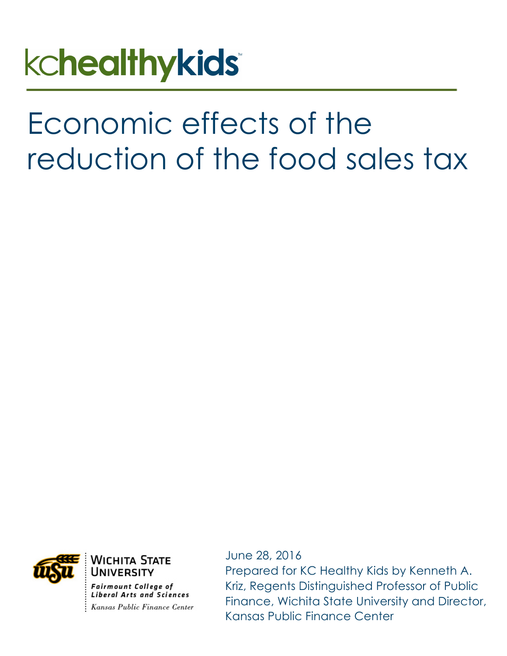# **kchealthykids**

# Economic effects of the reduction of the food sales tax



Wichita State UNIVERSITY

**Fairmount College of Liberal Arts and Sciences** Kansas Public Finance Center June 28, 2016

Prepared for KC Healthy Kids by Kenneth A. Kriz, Regents Distinguished Professor of Public Finance, Wichita State University and Director, Kansas Public Finance Center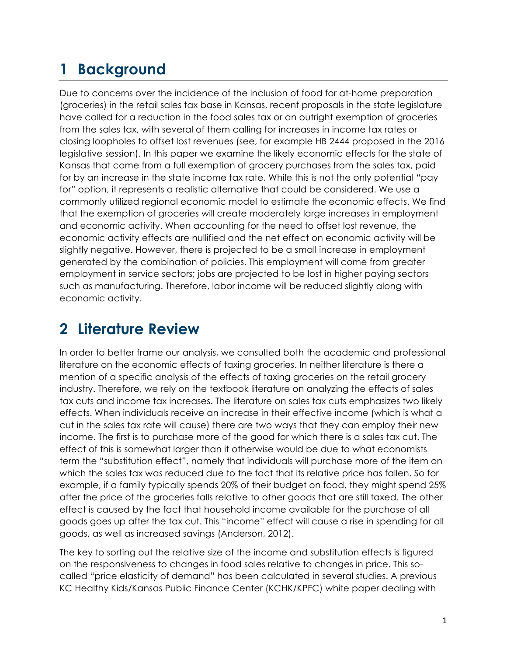## **1 Background**

Due to concerns over the incidence of the inclusion of food for at-home preparation (groceries) in the retail sales tax base in Kansas, recent proposals in the state legislature have called for a reduction in the food sales tax or an outright exemption of groceries from the sales tax, with several of them calling for increases in income tax rates or closing loopholes to offset lost revenues (see, for example HB 2444 proposed in the 2016 legislative session). In this paper we examine the likely economic effects for the state of Kansas that come from a full exemption of grocery purchases from the sales tax, paid for by an increase in the state income tax rate. While this is not the only potential "pay for" option, it represents a realistic alternative that could be considered. We use a commonly utilized regional economic model to estimate the economic effects. We find that the exemption of groceries will create moderately large increases in employment and economic activity. When accounting for the need to offset lost revenue, the economic activity effects are nullified and the net effect on economic activity will be slightly negative. However, there is projected to be a small increase in employment generated by the combination of policies. This employment will come from greater employment in service sectors; jobs are projected to be lost in higher paying sectors such as manufacturing. Therefore, labor income will be reduced slightly along with economic activity.

#### **2 Literature Review**

In order to better frame our analysis, we consulted both the academic and professional literature on the economic effects of taxing groceries. In neither literature is there a mention of a specific analysis of the effects of taxing groceries on the retail grocery industry. Therefore, we rely on the textbook literature on analyzing the effects of sales tax cuts and income tax increases. The literature on sales tax cuts emphasizes two likely effects. When individuals receive an increase in their effective income (which is what a cut in the sales tax rate will cause) there are two ways that they can employ their new income. The first is to purchase more of the good for which there is a sales tax cut. The effect of this is somewhat larger than it otherwise would be due to what economists term the "substitution effect", namely that individuals will purchase more of the item on which the sales tax was reduced due to the fact that its relative price has fallen. So for example, if a family typically spends 20% of their budget on food, they might spend 25% after the price of the groceries falls relative to other goods that are still taxed. The other effect is caused by the fact that household income available for the purchase of all goods goes up after the tax cut. This "income" effect will cause a rise in spending for all goods, as well as increased savings (Anderson, 2012).

The key to sorting out the relative size of the income and substitution effects is figured on the responsiveness to changes in food sales relative to changes in price. This socalled "price elasticity of demand" has been calculated in several studies. A previous KC Healthy Kids/Kansas Public Finance Center (KCHK/KPFC) white paper dealing with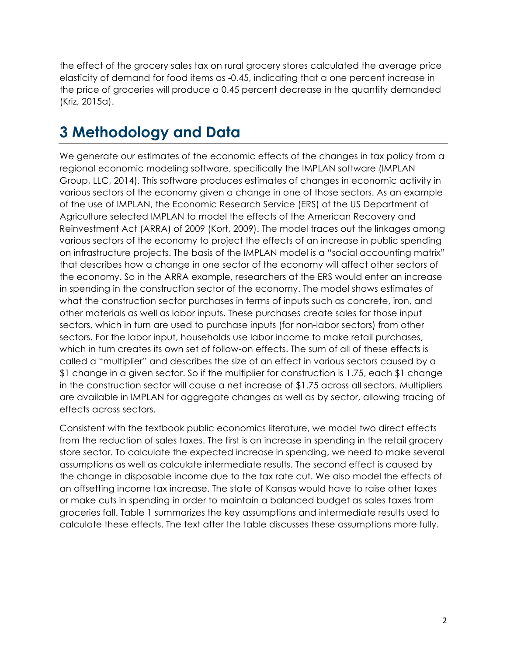the effect of the grocery sales tax on rural grocery stores calculated the average price elasticity of demand for food items as -0.45, indicating that a one percent increase in the price of groceries will produce a 0.45 percent decrease in the quantity demanded (Kriz, 2015a).

# **3 Methodology and Data**

We generate our estimates of the economic effects of the changes in tax policy from a regional economic modeling software, specifically the IMPLAN software (IMPLAN Group, LLC, 2014). This software produces estimates of changes in economic activity in various sectors of the economy given a change in one of those sectors. As an example of the use of IMPLAN, the Economic Research Service (ERS) of the US Department of Agriculture selected IMPLAN to model the effects of the American Recovery and Reinvestment Act (ARRA) of 2009 (Kort, 2009). The model traces out the linkages among various sectors of the economy to project the effects of an increase in public spending on infrastructure projects. The basis of the IMPLAN model is a "social accounting matrix" that describes how a change in one sector of the economy will affect other sectors of the economy. So in the ARRA example, researchers at the ERS would enter an increase in spending in the construction sector of the economy. The model shows estimates of what the construction sector purchases in terms of inputs such as concrete, iron, and other materials as well as labor inputs. These purchases create sales for those input sectors, which in turn are used to purchase inputs (for non-labor sectors) from other sectors. For the labor input, households use labor income to make retail purchases, which in turn creates its own set of follow-on effects. The sum of all of these effects is called a "multiplier" and describes the size of an effect in various sectors caused by a \$1 change in a given sector. So if the multiplier for construction is 1.75, each \$1 change in the construction sector will cause a net increase of \$1.75 across all sectors. Multipliers are available in IMPLAN for aggregate changes as well as by sector, allowing tracing of effects across sectors.

Consistent with the textbook public economics literature, we model two direct effects from the reduction of sales taxes. The first is an increase in spending in the retail grocery store sector. To calculate the expected increase in spending, we need to make several assumptions as well as calculate intermediate results. The second effect is caused by the change in disposable income due to the tax rate cut. We also model the effects of an offsetting income tax increase. The state of Kansas would have to raise other taxes or make cuts in spending in order to maintain a balanced budget as sales taxes from groceries fall. Table 1 summarizes the key assumptions and intermediate results used to calculate these effects. The text after the table discusses these assumptions more fully.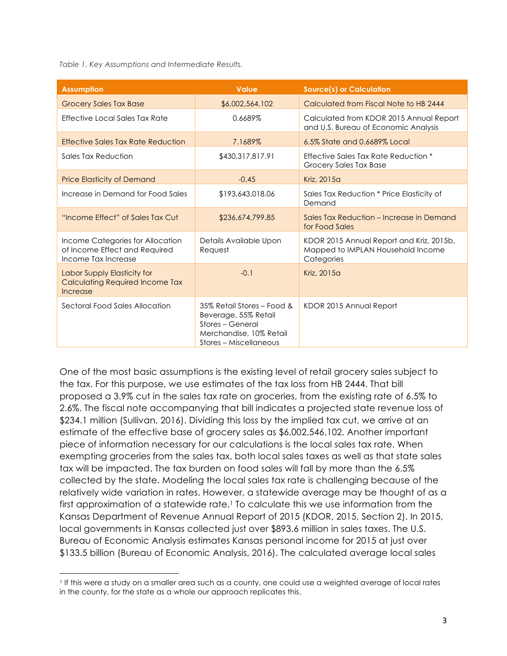*Table 1. Key Assumptions and Intermediate Results.*

<u> 1989 - Johann Stein, markin film yn y breninn y breninn y breninn y breninn y breninn y breninn y breninn y b</u>

| <b>Assumption</b>                                                                        | <b>Value</b>                                                                                                                | <b>Source(s) or Calculation</b>                                                             |
|------------------------------------------------------------------------------------------|-----------------------------------------------------------------------------------------------------------------------------|---------------------------------------------------------------------------------------------|
| <b>Grocery Sales Tax Base</b>                                                            | \$6,002,564,102                                                                                                             | Calculated from Fiscal Note to HB 2444                                                      |
| Effective Local Sales Tax Rate                                                           | 0.6689%                                                                                                                     | Calculated from KDOR 2015 Annual Report<br>and U.S. Bureau of Economic Analysis             |
| Effective Sales Tax Rate Reduction                                                       | 7.1689%                                                                                                                     | 6.5% State and 0.6689% Local                                                                |
| Sales Tax Reduction                                                                      | \$430,317,817.91                                                                                                            | Effective Sales Tax Rate Reduction *<br>Grocery Sales Tax Base                              |
| <b>Price Elasticity of Demand</b>                                                        | $-0.45$                                                                                                                     | Kriz, 2015a                                                                                 |
| Increase in Demand for Food Sales                                                        | \$193,643,018.06                                                                                                            | Sales Tax Reduction * Price Elasticity of<br>Demand                                         |
| "Income Effect" of Sales Tax Cut                                                         | \$236,674,799.85                                                                                                            | Sales Tax Reduction – Increase in Demand<br>for Food Sales                                  |
| Income Categories for Allocation<br>of Income Effect and Required<br>Income Tax Increase | Details Available Upon<br>Request                                                                                           | KDOR 2015 Annual Report and Kriz, 2015b,<br>Mapped to IMPLAN Household Income<br>Categories |
| Labor Supply Elasticity for<br>Calculating Required Income Tax<br>Increase               | $-0.1$                                                                                                                      | Kriz, 2015a                                                                                 |
| Sectoral Food Sales Allocation                                                           | 35% Retail Stores - Food &<br>Beverage, 55% Retail<br>Stores - General<br>Merchandise, 10% Retail<br>Stores – Miscellaneous | KDOR 2015 Annual Report                                                                     |

One of the most basic assumptions is the existing level of retail grocery sales subject to the tax. For this purpose, we use estimates of the tax loss from HB 2444. That bill proposed a 3.9% cut in the sales tax rate on groceries, from the existing rate of 6.5% to 2.6%. The fiscal note accompanying that bill indicates a projected state revenue loss of \$234.1 million (Sullivan, 2016). Dividing this loss by the implied tax cut, we arrive at an estimate of the effective base of grocery sales as \$6,002,546,102. Another important piece of information necessary for our calculations is the local sales tax rate. When exempting groceries from the sales tax, both local sales taxes as well as that state sales tax will be impacted. The tax burden on food sales will fall by more than the 6.5% collected by the state. Modeling the local sales tax rate is challenging because of the relatively wide variation in rates. However, a statewide average may be thought of as a first approximation of a statewide rate.1 To calculate this we use information from the Kansas Department of Revenue Annual Report of 2015 (KDOR, 2015, Section 2). In 2015, local governments in Kansas collected just over \$893.6 million in sales taxes. The U.S. Bureau of Economic Analysis estimates Kansas personal income for 2015 at just over \$133.5 billion (Bureau of Economic Analysis, 2016). The calculated average local sales

<sup>1</sup> If this were a study on a smaller area such as a county, one could use a weighted average of local rates in the county, for the state as a whole our approach replicates this.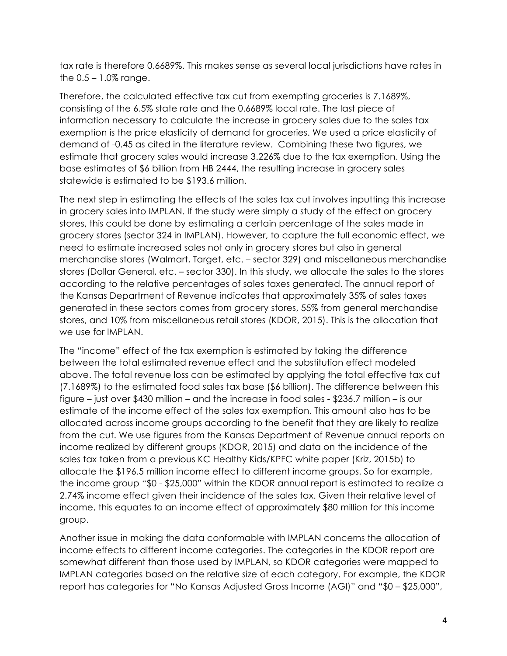tax rate is therefore 0.6689%. This makes sense as several local jurisdictions have rates in the  $0.5 - 1.0\%$  range.

Therefore, the calculated effective tax cut from exempting groceries is 7.1689%, consisting of the 6.5% state rate and the 0.6689% local rate. The last piece of information necessary to calculate the increase in grocery sales due to the sales tax exemption is the price elasticity of demand for groceries. We used a price elasticity of demand of -0.45 as cited in the literature review. Combining these two figures, we estimate that grocery sales would increase 3.226% due to the tax exemption. Using the base estimates of \$6 billion from HB 2444, the resulting increase in grocery sales statewide is estimated to be \$193.6 million.

The next step in estimating the effects of the sales tax cut involves inputting this increase in grocery sales into IMPLAN. If the study were simply a study of the effect on grocery stores, this could be done by estimating a certain percentage of the sales made in grocery stores (sector 324 in IMPLAN). However, to capture the full economic effect, we need to estimate increased sales not only in grocery stores but also in general merchandise stores (Walmart, Target, etc. – sector 329) and miscellaneous merchandise stores (Dollar General, etc. – sector 330). In this study, we allocate the sales to the stores according to the relative percentages of sales taxes generated. The annual report of the Kansas Department of Revenue indicates that approximately 35% of sales taxes generated in these sectors comes from grocery stores, 55% from general merchandise stores, and 10% from miscellaneous retail stores (KDOR, 2015). This is the allocation that we use for IMPLAN.

The "income" effect of the tax exemption is estimated by taking the difference between the total estimated revenue effect and the substitution effect modeled above. The total revenue loss can be estimated by applying the total effective tax cut (7.1689%) to the estimated food sales tax base (\$6 billion). The difference between this figure – just over \$430 million – and the increase in food sales - \$236.7 million – is our estimate of the income effect of the sales tax exemption. This amount also has to be allocated across income groups according to the benefit that they are likely to realize from the cut. We use figures from the Kansas Department of Revenue annual reports on income realized by different groups (KDOR, 2015) and data on the incidence of the sales tax taken from a previous KC Healthy Kids/KPFC white paper (Kriz, 2015b) to allocate the \$196.5 million income effect to different income groups. So for example, the income group "\$0 - \$25,000" within the KDOR annual report is estimated to realize a 2.74% income effect given their incidence of the sales tax. Given their relative level of income, this equates to an income effect of approximately \$80 million for this income group.

Another issue in making the data conformable with IMPLAN concerns the allocation of income effects to different income categories. The categories in the KDOR report are somewhat different than those used by IMPLAN, so KDOR categories were mapped to IMPLAN categories based on the relative size of each category. For example, the KDOR report has categories for "No Kansas Adjusted Gross Income (AGI)" and "\$0 – \$25,000",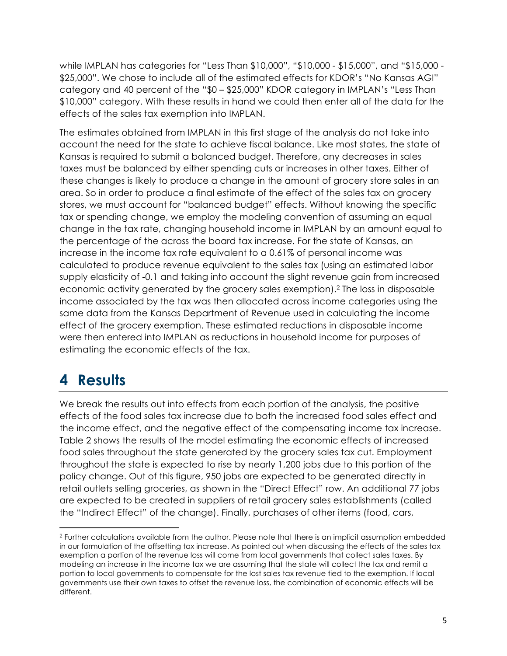while IMPLAN has categories for "Less Than \$10,000", "\$10,000 - \$15,000", and "\$15,000 - \$25,000". We chose to include all of the estimated effects for KDOR's "No Kansas AGI" category and 40 percent of the "\$0 – \$25,000" KDOR category in IMPLAN's "Less Than \$10,000" category. With these results in hand we could then enter all of the data for the effects of the sales tax exemption into IMPLAN.

The estimates obtained from IMPLAN in this first stage of the analysis do not take into account the need for the state to achieve fiscal balance. Like most states, the state of Kansas is required to submit a balanced budget. Therefore, any decreases in sales taxes must be balanced by either spending cuts or increases in other taxes. Either of these changes is likely to produce a change in the amount of grocery store sales in an area. So in order to produce a final estimate of the effect of the sales tax on grocery stores, we must account for "balanced budget" effects. Without knowing the specific tax or spending change, we employ the modeling convention of assuming an equal change in the tax rate, changing household income in IMPLAN by an amount equal to the percentage of the across the board tax increase. For the state of Kansas, an increase in the income tax rate equivalent to a 0.61% of personal income was calculated to produce revenue equivalent to the sales tax (using an estimated labor supply elasticity of -0.1 and taking into account the slight revenue gain from increased economic activity generated by the grocery sales exemption).2 The loss in disposable income associated by the tax was then allocated across income categories using the same data from the Kansas Department of Revenue used in calculating the income effect of the grocery exemption. These estimated reductions in disposable income were then entered into IMPLAN as reductions in household income for purposes of estimating the economic effects of the tax.

## **4 Results**

 

We break the results out into effects from each portion of the analysis, the positive effects of the food sales tax increase due to both the increased food sales effect and the income effect, and the negative effect of the compensating income tax increase. Table 2 shows the results of the model estimating the economic effects of increased food sales throughout the state generated by the grocery sales tax cut. Employment throughout the state is expected to rise by nearly 1,200 jobs due to this portion of the policy change. Out of this figure, 950 jobs are expected to be generated directly in retail outlets selling groceries, as shown in the "Direct Effect" row. An additional 77 jobs are expected to be created in suppliers of retail grocery sales establishments (called the "Indirect Effect" of the change). Finally, purchases of other items (food, cars,

<sup>2</sup> Further calculations available from the author. Please note that there is an implicit assumption embedded in our formulation of the offsetting tax increase. As pointed out when discussing the effects of the sales tax exemption a portion of the revenue loss will come from local governments that collect sales taxes. By modeling an increase in the income tax we are assuming that the state will collect the tax and remit a portion to local governments to compensate for the lost sales tax revenue tied to the exemption. If local governments use their own taxes to offset the revenue loss, the combination of economic effects will be different.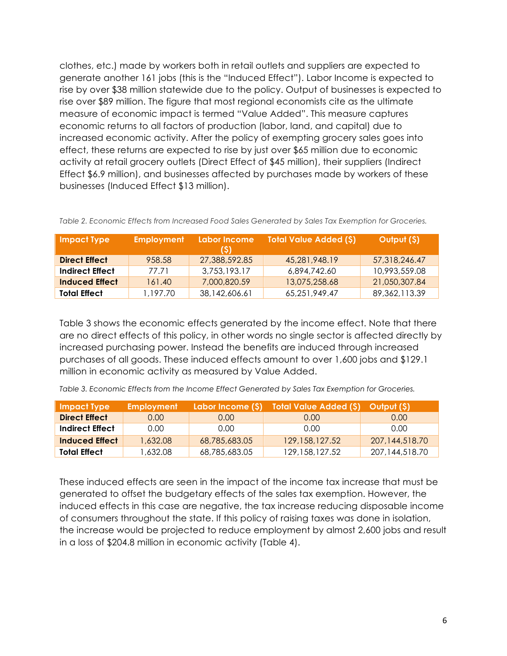clothes, etc.) made by workers both in retail outlets and suppliers are expected to generate another 161 jobs (this is the "Induced Effect"). Labor Income is expected to rise by over \$38 million statewide due to the policy. Output of businesses is expected to rise over \$89 million. The figure that most regional economists cite as the ultimate measure of economic impact is termed "Value Added". This measure captures economic returns to all factors of production (labor, land, and capital) due to increased economic activity. After the policy of exempting grocery sales goes into effect, these returns are expected to rise by just over \$65 million due to economic activity at retail grocery outlets (Direct Effect of \$45 million), their suppliers (Indirect Effect \$6.9 million), and businesses affected by purchases made by workers of these businesses (Induced Effect \$13 million).

| Impact Type            | <b>Employment</b> | Labor Income<br>(S) | <b>Total Value Added (\$)</b> | Output (\$)     |
|------------------------|-------------------|---------------------|-------------------------------|-----------------|
| <b>Direct Effect</b>   | 958.58            | 27,388,592.85       | 45,281,948.19                 | 57,318,246.47   |
| <b>Indirect Effect</b> | 77.71             | 3,753,193.17        | 6,894,742.60                  | 10,993,559.08   |
| Induced Effect         | 161.40            | 7,000,820.59        | 13,075,258.68                 | 21,050,307.84   |
| <b>Total Effect</b>    | 1,197.70          | 38,142,606.61       | 65,251,949.47                 | 89, 362, 113.39 |

*Table 2. Economic Effects from Increased Food Sales Generated by Sales Tax Exemption for Groceries.*

Table 3 shows the economic effects generated by the income effect. Note that there are no direct effects of this policy, in other words no single sector is affected directly by increased purchasing power. Instead the benefits are induced through increased purchases of all goods. These induced effects amount to over 1,600 jobs and \$129.1 million in economic activity as measured by Value Added.

*Table 3. Economic Effects from the Income Effect Generated by Sales Tax Exemption for Groceries.*

| <b>Impact Type</b>     | <b>Employment</b> |               | Labor Income (\$) Total Value Added (\$) Output (\$) |                |
|------------------------|-------------------|---------------|------------------------------------------------------|----------------|
| <b>Direct Effect</b>   | 0.00              | 0.00          | 0.00 <sub>1</sub>                                    | 0.00           |
| <b>Indirect Effect</b> | 0.00              | 0.00          | 0.00                                                 | 0.00           |
| <b>Induced Effect</b>  | 1,632.08          | 68,785,683.05 | 129, 158, 127.52                                     | 207,144,518.70 |
| <b>Total Effect</b>    | 1,632.08          | 68,785,683.05 | 129, 158, 127.52                                     | 207,144,518.70 |

These induced effects are seen in the impact of the income tax increase that must be generated to offset the budgetary effects of the sales tax exemption. However, the induced effects in this case are negative, the tax increase reducing disposable income of consumers throughout the state. If this policy of raising taxes was done in isolation, the increase would be projected to reduce employment by almost 2,600 jobs and result in a loss of \$204.8 million in economic activity (Table 4).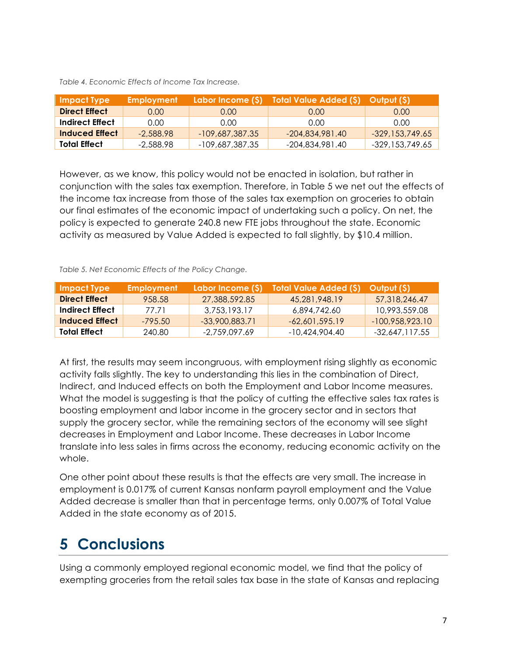| <b>Impact Type</b>   | <b>Employment</b> |                   | Labor Income (\$) Total Value Added (\$) Output (\$) |                   |
|----------------------|-------------------|-------------------|------------------------------------------------------|-------------------|
| <b>Direct Effect</b> | 0.00              | 0.00 <sub>1</sub> | 0.00                                                 | 0.00              |
| Indirect Effect      | 0.00 <sub>1</sub> | 0.00              | 0.00                                                 | 0.00              |
| Induced Effect       | $-2,588.98$       | $-109,687,387.35$ | $-204,834,981.40$                                    | $-329,153,749.65$ |
| <b>Total Effect</b>  | $-2,588.98$       | -109,687,387.35   | -204,834,981.40                                      | -329,153,749.65   |

*Table 4. Economic Effects of Income Tax Increase.*

However, as we know, this policy would not be enacted in isolation, but rather in conjunction with the sales tax exemption. Therefore, in Table 5 we net out the effects of the income tax increase from those of the sales tax exemption on groceries to obtain our final estimates of the economic impact of undertaking such a policy. On net, the policy is expected to generate 240.8 new FTE jobs throughout the state. Economic activity as measured by Value Added is expected to fall slightly, by \$10.4 million.

| <b>Impact Type</b>   | <b>Employment</b> | Labor Income (S) | <b>Total Value Added (S)</b> | Output (S)        |
|----------------------|-------------------|------------------|------------------------------|-------------------|
| <b>Direct Effect</b> | 958.58            | 27,388,592.85    | 45.281.948.19                | 57.318.246.47     |
| Indirect Effect      | 77.71             | 3,753,193,17     | 6.894.742.60                 | 10.993.559.08     |
| Induced Effect       | $-795.50$         | -33,900,883.71   | $-62.601.595.19$             | $-100.958.923.10$ |
| Total Effect         | 240.80            | -2.759.097.69    | -10.424.904.40               | -32,647,117.55    |

At first, the results may seem incongruous, with employment rising slightly as economic activity falls slightly. The key to understanding this lies in the combination of Direct, Indirect, and Induced effects on both the Employment and Labor Income measures. What the model is suggesting is that the policy of cutting the effective sales tax rates is boosting employment and labor income in the grocery sector and in sectors that supply the grocery sector, while the remaining sectors of the economy will see slight decreases in Employment and Labor Income. These decreases in Labor Income translate into less sales in firms across the economy, reducing economic activity on the whole.

One other point about these results is that the effects are very small. The increase in employment is 0.017% of current Kansas nonfarm payroll employment and the Value Added decrease is smaller than that in percentage terms, only 0.007% of Total Value Added in the state economy as of 2015.

#### **5 Conclusions**

Using a commonly employed regional economic model, we find that the policy of exempting groceries from the retail sales tax base in the state of Kansas and replacing